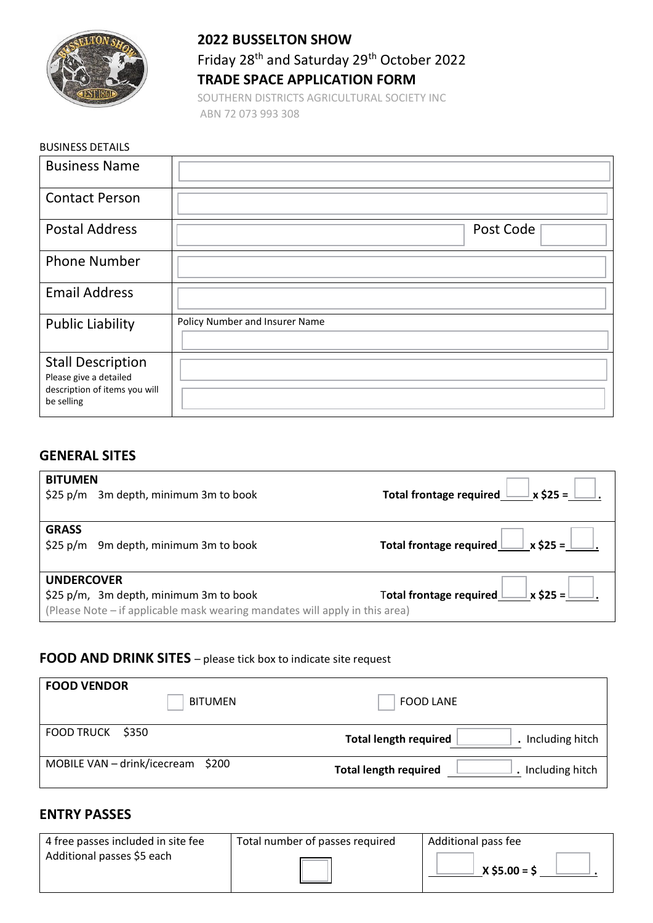

#### **2022 BUSSELTON SHOW**

# Friday 28<sup>th</sup> and Saturday 29<sup>th</sup> October 2022 **TRADE SPACE APPLICATION FORM**

SOUTHERN DISTRICTS AGRICULTURAL SOCIETY INC ABN 72 073 993 308

| <b>BUSINESS DETAILS</b>                                                                           |                                |
|---------------------------------------------------------------------------------------------------|--------------------------------|
| <b>Business Name</b>                                                                              |                                |
| <b>Contact Person</b>                                                                             |                                |
| <b>Postal Address</b>                                                                             | Post Code                      |
| <b>Phone Number</b>                                                                               |                                |
| <b>Email Address</b>                                                                              |                                |
| <b>Public Liability</b>                                                                           | Policy Number and Insurer Name |
| <b>Stall Description</b><br>Please give a detailed<br>description of items you will<br>be selling |                                |

## **GENERAL SITES**

| <b>BITUMEN</b><br>$$25 p/m$ 3m depth, minimum 3m to book                                                                                   | Total frontage required $\Box$ x \$25 = $\Box$ .                                   |
|--------------------------------------------------------------------------------------------------------------------------------------------|------------------------------------------------------------------------------------|
| <b>GRASS</b><br>$$25 p/m$ 9m depth, minimum 3m to book                                                                                     |                                                                                    |
| <b>UNDERCOVER</b><br>\$25 p/m, 3m depth, minimum 3m to book<br>(Please Note – if applicable mask wearing mandates will apply in this area) | Total frontage required $\underline{\bigsqcup}$ x \$25 = $\underline{\bigsqcup}$ . |

## **FOOD AND DRINK SITES** – please tick box to indicate site request

| <b>FOOD VENDOR</b><br><b>BITUMEN</b> | <b>FOOD LANE</b>                                  |
|--------------------------------------|---------------------------------------------------|
| <b>FOOD TRUCK</b><br>\$350           | <b>Total length required</b><br>. Including hitch |
| MOBILE VAN - drink/icecream \$200    | Including hitch<br><b>Total length required</b>   |

## **ENTRY PASSES**

| 4 free passes included in site fee | Total number of passes required | Additional pass fee |
|------------------------------------|---------------------------------|---------------------|
| Additional passes \$5 each         |                                 | $X$ \$5.00 = \$     |